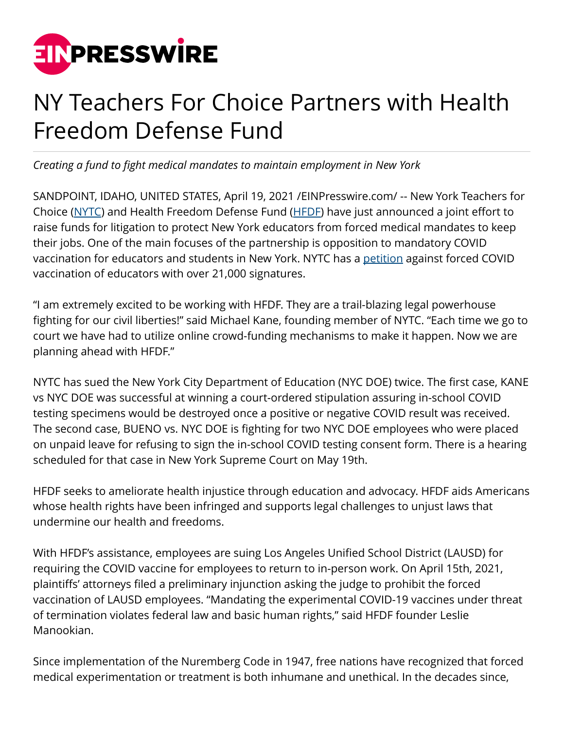

## NY Teachers For Choice Partners with Health Freedom Defense Fund

*Creating a fund to fight medical mandates to maintain employment in New York*

SANDPOINT, IDAHO, UNITED STATES, April 19, 2021 /[EINPresswire.com](http://www.einpresswire.com)/ -- New York Teachers for Choice [\(NYTC\)](http://nyteachersforchoice.wordpress.com/) and Health Freedom Defense Fund [\(HFDF](http://healthfreedomdefense.org/)) have just announced a joint effort to raise funds for litigation to protect New York educators from forced medical mandates to keep their jobs. One of the main focuses of the partnership is opposition to mandatory COVID vaccination for educators and students in New York. NYTC has a [petition](http://www.change.org/p/united-federation-of-teachers-stop-vaccine-mandates-for-nyc-teachers?recruiter=914278467&recruited_by_id=1608e1c0-e862-11e8-b487-7b6927f53df6&utm_source=share_petition&utm_medium=copylink&utm_campaign=petition_dashboard) against forced COVID vaccination of educators with over 21,000 signatures.

"I am extremely excited to be working with HFDF. They are a trail-blazing legal powerhouse fighting for our civil liberties!" said Michael Kane, founding member of NYTC. "Each time we go to court we have had to utilize online crowd-funding mechanisms to make it happen. Now we are planning ahead with HFDF."

NYTC has sued the New York City Department of Education (NYC DOE) twice. The first case, KANE vs NYC DOE was successful at winning a court-ordered stipulation assuring in-school COVID testing specimens would be destroyed once a positive or negative COVID result was received. The second case, BUENO vs. NYC DOE is fighting for two NYC DOE employees who were placed on unpaid leave for refusing to sign the in-school COVID testing consent form. There is a hearing scheduled for that case in New York Supreme Court on May 19th.

HFDF seeks to ameliorate health injustice through education and advocacy. HFDF aids Americans whose health rights have been infringed and supports legal challenges to unjust laws that undermine our health and freedoms.

With HFDF's assistance, employees are suing Los Angeles Unified School District (LAUSD) for requiring the COVID vaccine for employees to return to in-person work. On April 15th, 2021, plaintiffs' attorneys filed a preliminary injunction asking the judge to prohibit the forced vaccination of LAUSD employees. "Mandating the experimental COVID-19 vaccines under threat of termination violates federal law and basic human rights," said HFDF founder Leslie Manookian.

Since implementation of the Nuremberg Code in 1947, free nations have recognized that forced medical experimentation or treatment is both inhumane and unethical. In the decades since,